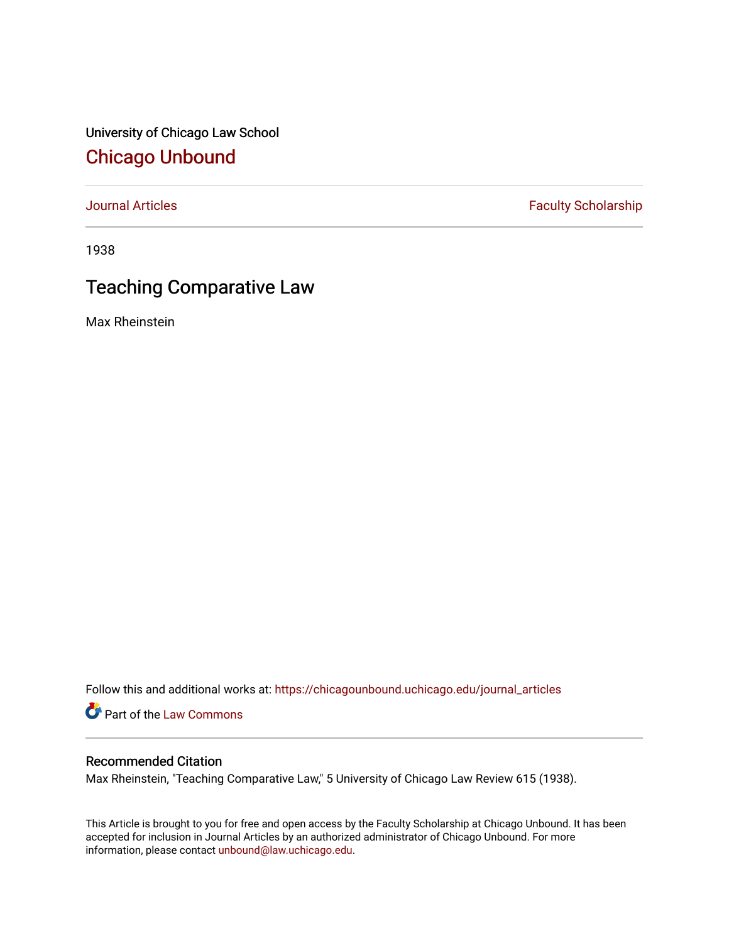University of Chicago Law School [Chicago Unbound](https://chicagounbound.uchicago.edu/)

[Journal Articles](https://chicagounbound.uchicago.edu/journal_articles) **Faculty Scholarship Faculty Scholarship** 

1938

# Teaching Comparative Law

Max Rheinstein

Follow this and additional works at: [https://chicagounbound.uchicago.edu/journal\\_articles](https://chicagounbound.uchicago.edu/journal_articles?utm_source=chicagounbound.uchicago.edu%2Fjournal_articles%2F9426&utm_medium=PDF&utm_campaign=PDFCoverPages) 

Part of the [Law Commons](http://network.bepress.com/hgg/discipline/578?utm_source=chicagounbound.uchicago.edu%2Fjournal_articles%2F9426&utm_medium=PDF&utm_campaign=PDFCoverPages)

## Recommended Citation

Max Rheinstein, "Teaching Comparative Law," 5 University of Chicago Law Review 615 (1938).

This Article is brought to you for free and open access by the Faculty Scholarship at Chicago Unbound. It has been accepted for inclusion in Journal Articles by an authorized administrator of Chicago Unbound. For more information, please contact [unbound@law.uchicago.edu](mailto:unbound@law.uchicago.edu).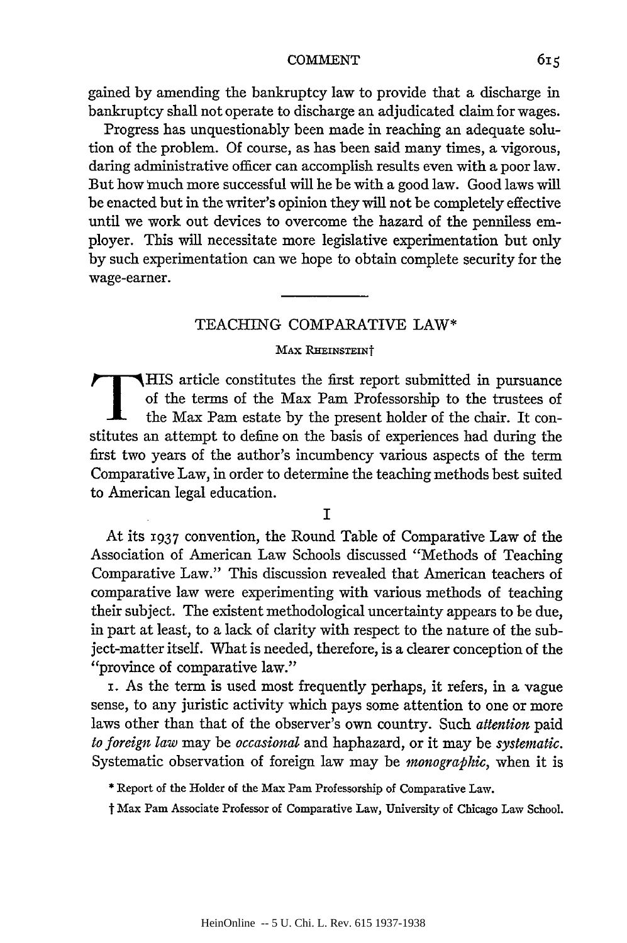gained by amending the bankruptcy law to provide that a discharge in bankruptcy shall not operate to discharge an adjudicated claim for wages.

Progress has unquestionably been made in reaching an adequate solution of the problem. Of course, as has been said many times, a vigorous, daring administrative officer can accomplish results even with a poor law. But how nuch more successful will he be with a good law. Good laws will be enacted but in the writer's opinion they will not be completely effective until we work out devices to overcome the hazard of the penniless employer. This will necessitate more legislative experimentation but only by such experimentation can we hope to obtain complete security for the wage-earner.

## TEACHING COMPARATIVE LAW\*

### **MAX RHEINSTEINT**

THIS article constitutes the first report submitted in pursuance of the terms of the Max Pam Professorship to the trustees of the Max Pam estate by the present holder of the chair. It constitutes an attempt to define on the basis of experiences had during the first two years of the author's incumbency various aspects of the term Comparative Law, in order to determine the teaching methods best suited to American legal education.

## I

At its 1937 convention, the Round Table of Comparative Law of the Association of American Law Schools discussed "Methods of Teaching Comparative Law." This discussion revealed that American teachers of comparative law were experimenting with various methods of teaching their subject. The existent methodological uncertainty appears to be due, in part at least, to a lack of clarity with respect to the nature of the subject-matter itself. What is needed, therefore, is a clearer conception of the "province of comparative law."

i. As the term is used most frequently perhaps, it refers, in a vague sense, to any juristic activity which pays some attention to one or more laws other than that of the observer's own country. Such *attention* paid *to foreign law* may be *occasional* and haphazard, or it may be *systematic.* Systematic observation of foreign law may be *monographic,* when it is

\* Report of the Holder of the Max Pam Professorship of Comparative Law.

t Max Pam Associate Professor of Comparative Law, University of Chicago Law School.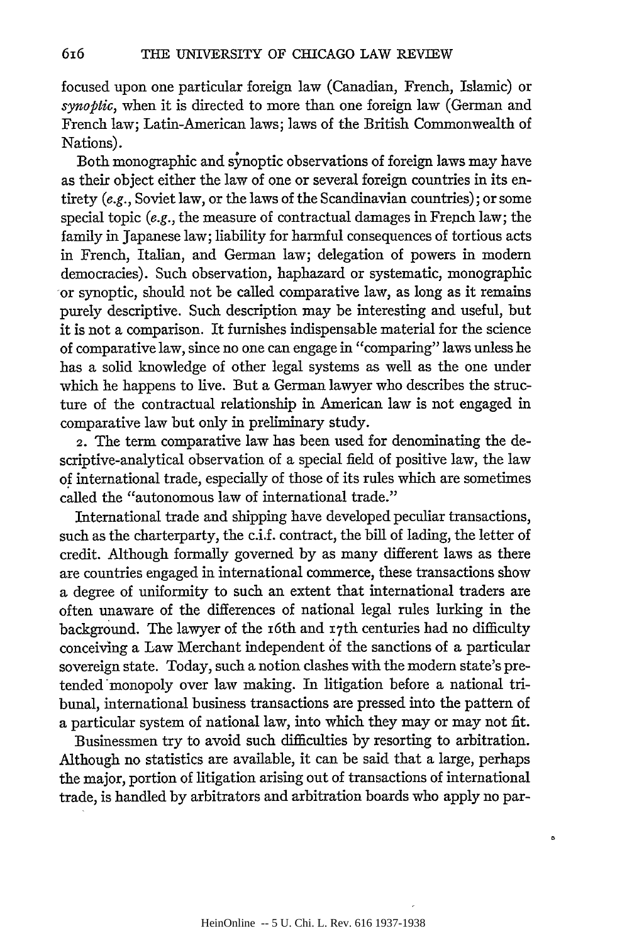616

focused upon one particular foreign law (Canadian, French, Islamic) or *synoptic,* when it is directed to more than one foreign law (German and French law; Latin-American laws; laws of the British Commonwealth of Nations).

Both monographic and synoptic observations of foreign laws may have as their object either the law of one or several foreign countries in its entirety *(e.g.,* Soviet law, or the laws of the Scandinavian countries); or some special topic *(e.g., the measure of contractual damages in French law; the* family in Japanese law; liability for harmful consequences of tortious acts in French, Italian, and German law; delegation of powers in modern democracies). Such observation, haphazard or systematic, monographic or synoptic, should not be called comparative law, as long as it remains purely descriptive. Such description may be interesting and useful, but it is not a comparison. It furnishes indispensable material for the science of comparative law, since no one can engage in "comparing" laws unless he has a solid knowledge of other legal systems as well as the one under which he happens to live. But a German lawyer who describes the structure of the contractual relationship in American law is not engaged in comparative law but only in preliminary study.

2. The term comparative law has been used for denominating the descriptive-analytical observation of a special field of positive law, the law of international trade, especially of those of its rules which are sometimes called the "autonomous law of international trade."

International trade and shipping have developed peculiar transactions, such as the charterparty, the c.i.f. contract, the bill of lading, the letter of credit. Although formally governed by as many different laws as there are countries engaged in international commerce, these transactions show a degree of uniformity to such an extent that international traders are often unaware of the differences of national legal rules lurking in the background. The lawyer of the i6th and i7th centuries had no difficulty conceiving a Law Merchant independent of the sanctions of a particular sovereign state. Today, such a notion clashes with the modern state's pretended monopoly over law making. In litigation before a national tribunal, international business transactions are pressed into the pattern of a particular system of national law, into which they may or may not fit.

Businessmen try to avoid such difficulties by resorting to arbitration. Although no statistics are available, it can be said that a large, perhaps the major, portion of litigation arising out of transactions of international trade, is handled by arbitrators and arbitration boards who apply no par-

٥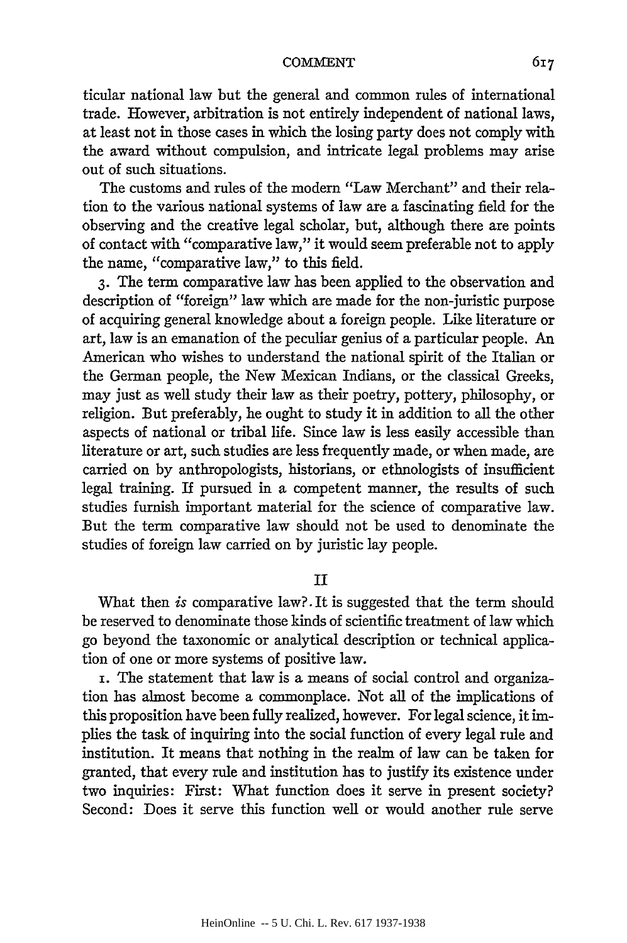ticular national law but the general and common rules of international trade. However, arbitration is not entirely independent of national laws, at least not in those cases in which the losing party does not comply with the award without compulsion, and intricate legal problems may arise out of such situations.

The customs and rules of the modern "Law Merchant" and their relation to the various national systems of law are a fascinating field for the observing and the creative legal scholar, but, although there are points of contact with "comparative law," it would seem preferable not to apply the name, "comparative law," to this field.

**3.** The term comparative law has been applied to the observation and description of "foreign" law which are made for the non-juristic purpose of acquiring general knowledge about a foreign people. Like literature or art, law is an emanation of the peculiar genius of a particular people. An American who wishes to understand the national spirit of the Italian or the German people, the New Mexican Indians, or the classical Greeks, may just as well study their law as their poetry, pottery, philosophy, or religion. But preferably, he ought to study it in addition to all the other aspects of national or tribal life. Since law is less easily accessible than literature or art, such studies are less frequently made, or when made, are carried on by anthropologists, historians, or ethnologists of insufficient legal training. If pursued in a competent manner, the results of such studies furnish important material for the science of comparative law. But the term comparative law should not be used to denominate the studies of foreign law carried on by juristic lay people.

## II

What then *is* comparative law?. It is suggested that the term should be reserved to denominate those kinds of scientific treatment of law which go beyond the taxonomic or analytical description or technical application of one or more systems of positive law.

i. The statement that law is a means of social control and organization has almost become a commonplace. Not all of the implications of this proposition have been fully realized, however. For legal science, it implies the task of inquiring into the social function of every legal rule and institution. It means that nothing in the realm of law can be taken for granted, that every rule and institution has to justify its existence under two inquiries: First: What function does it serve in present society? Second: Does it serve this function well or would another rule serve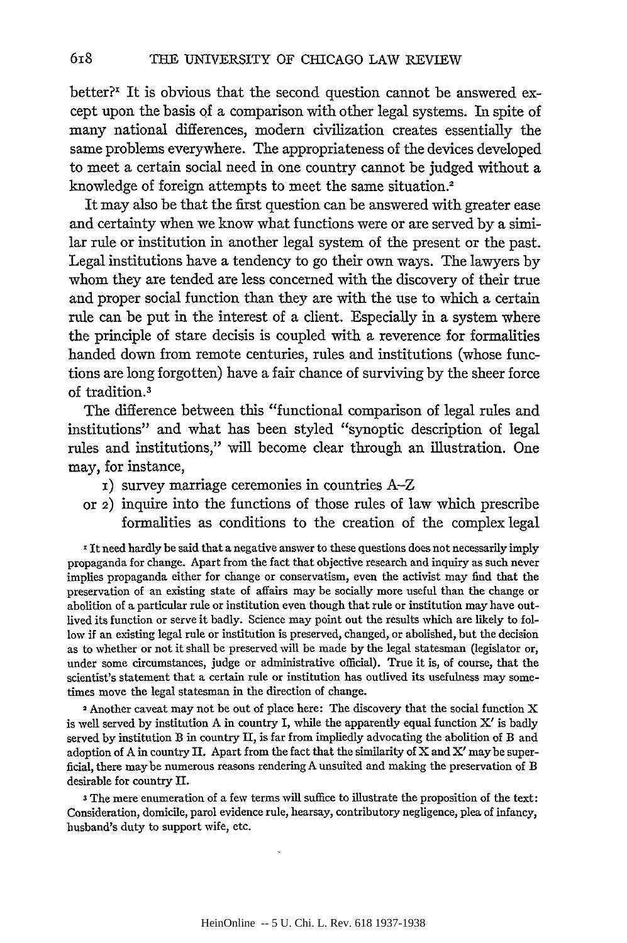better? $I$  It is obvious that the second question cannot be answered except upon the basis **of** a comparison with other legal systems. In spite of many national differences, modern civilization creates essentially the same problems everywhere. The appropriateness of the devices developed to meet a certain social need in one country cannot be judged without a knowledge of foreign attempts to meet the same situation.2

It may also be that the first question can be answered with greater ease and certainty when we know what functions were or are served **by** a similar rule or institution in another legal system of the present or the past. Legal institutions have a tendency to go their own ways. The lawyers **by** whom they are tended are less concerned with the discovery of their true and proper social function than they are with the use to which a certain rule can be put in the interest of a client. Especially in a system where the principle of stare decisis is coupled with a reverence for formalities handed down from remote centuries, rules and institutions (whose functions are long forgotten) have a fair chance of surviving **by** the sheer force of tradition. <sup>3</sup>

The difference between this "functional comparison of legal rules and institutions" and what has been styled "synoptic description of legal rules and institutions," will become **clear** through an illustration. One may, for instance,

- **i)** survey marriage ceremonies in countries A-Z
- or **2)** inquire into the functions of those rules of law which prescribe formalities as conditions to the creation of the complex legal

It need hardly be said that a negative answer to these questions does not necessarily imply propaganda for change. Apart from the fact that objective research and inquiry as such never implies propaganda either for change or conservatism, even the activist may find that the preservation of an existing state of affairs may be socially more useful than the change or abolition of a particular rule or institution even though that rule or institution may have outlived its function or serve it badly. Science may point out the results which are likely to follow if an existing legal rule or institution is preserved, changed, or abolished, but the decision as to whether or not it shall **be** preserved will be made **by** the legal statesman (legislator or, under some circumstances, judge or administrative official). True it is, of course, that the scientist's statement that a certain rule or institution has outlived its usefulness may sometimes move the legal statesman in the direction of change.

**<sup>2</sup>**Another caveat may not be out of place here: The discovery that the social function X is well served **by** institution **A** in country I, while the apparently equal function X' is **badly** served **by** institution **B** in country **I,** is far from impliedly advocating the abolition of B and adoption of **A** in country **I.** Apart from the fact that the similarity of X and **X'** may be superficial, there maybe numerous reasons rendering **A** unsuited and making the preservation of B desirable for country IL

**3** The mere enumeration of a few terms will suffice to illustrate the proposition of the text: Consideration, domicile, parol evidence rule, hearsay, contributory negligence, plea of infancy, husband's duty to support wife, etc.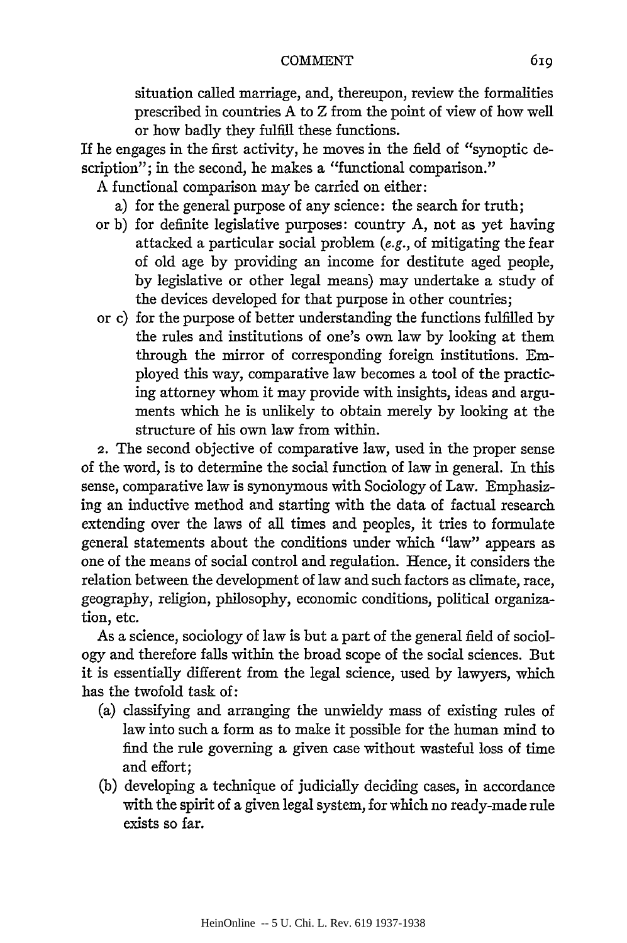situation called marriage, and, thereupon, review the formalities prescribed in countries A to Z from the point of view of how well or how badly they fulfill these functions.

If he engages in the first activity, he moves in the field of "synoptic description"; in the second, he makes a "functional comparison."

A functional comparison may be carried on either:

- a) for the general purpose of any science: the search for truth;
- or b) for definite legislative purposes: country A, not as yet having attacked a particular social problem (e.g., of mitigating the fear of old age by providing an income for destitute aged people, by legislative or other legal means) may undertake a study of the devices developed for that purpose in other countries;
- or c) for the purpose of better understanding the functions fulfilled by the rules and institutions of one's own law by looking at them through the mirror of corresponding foreign institutions. Employed this way, comparative law becomes a tool of the practicing attorney whom it may provide with insights, ideas and arguments which he is unlikely to obtain merely by looking at the structure of his own law from within.

2. The second objective of comparative law, used in the proper sense of the word, is to determine the social function of law in general. In this sense, comparative law is synonymous with Sociology of Law. Emphasizing an inductive method and starting with the data of factual research extending over the laws of all times and peoples, it tries to formulate general statements about the conditions under which "law" appears as one of the means of social control and regulation. Hence, it considers the relation between the development of law and such factors as climate, race, geography, religion, philosophy, economic conditions, political organization, etc.

As a science, sociology of law is but a part of the general field of sociology and therefore falls within the broad scope of the social sciences. But it is essentially different from the legal science, used by lawyers, which has the twofold task of:

- (a) classifying and arranging the unwieldy mass of existing rules of law into such a form as to make it possible for the human mind to find the rule governing a given case without wasteful loss of time and effort;
- (b) developing a technique of judicially deciding cases, in accordance with the spirit of a given legal system, for which no ready-made rule exists so far.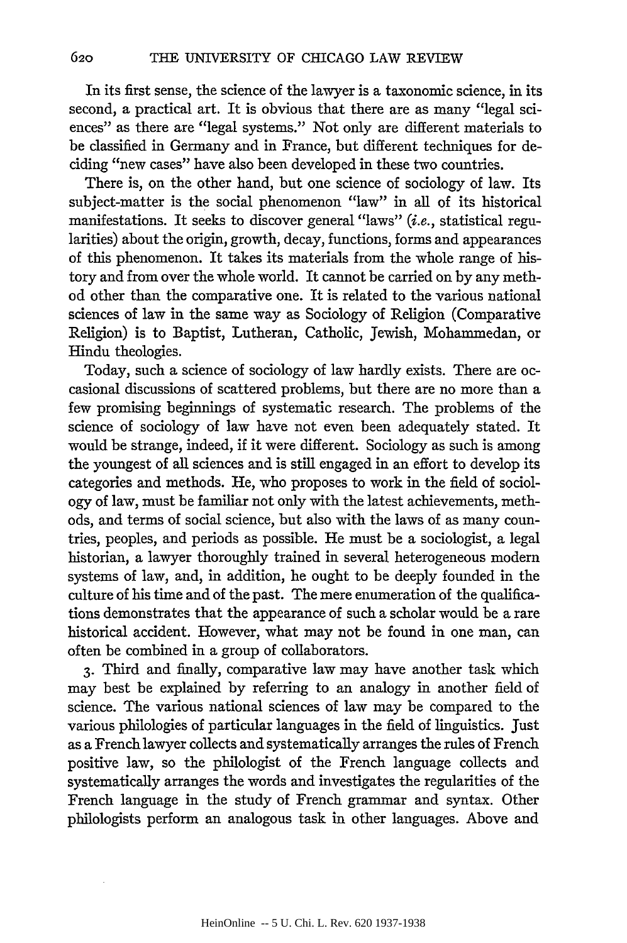In its first sense, the science of the lawyer is a taxonomic science, in its second, a practical art. It is obvious that there are as many "legal sciences" as there are "legal systems." Not only are different materials to be classified in Germany and in France, but different techniques for deciding "new cases" have also been developed in these two countries.

There is, on the other hand, but one science of sociology of law. Its subject-matter is the social phenomenon "law" in all of its historical manifestations. It seeks to discover general "laws" (i.e., statistical regularities) about the origin, growth, decay, functions, forms and appearances of this phenomenon. It takes its materials from the whole range of history and from over the whole world. It cannot be carried on by any method other than the comparative one. It is related to the various national sciences of law in the same way as Sociology of Religion (Comparative Religion) is to Baptist, Lutheran, Catholic, Jewish, Mohammedan, or Hindu theologies.

Today, such a science of sociology of law hardly exists. There are occasional discussions of scattered problems, but there are no more than a few promising beginnings of systematic research. The problems of the science of sociology of law have not even been adequately stated. It would be strange, indeed, if it were different. Sociology as such is among the youngest of all sciences and is still engaged in an effort to develop its categories and methods. He, who proposes to work in the field of sociology of law, must be familiar not only with the latest achievements, methods, and terms of social science, but also with the laws of as many countries, peoples, and periods as possible. He must be a sociologist, a legal historian, a lawyer thoroughly trained in several heterogeneous modem systems of law, and, in addition, he ought to be deeply founded in the culture of his time and of the past. The mere enumeration of the qualifications demonstrates that the appearance of such a scholar would be a rare historical accident. However, what may not be found in one man, can often be combined in a group of collaborators.

**3.** Third and finally, comparative law may have another task which may best be explained by referring to an analogy in another field of science. The various national sciences of law may be compared to the various philologies of particular languages in the field of linguistics. Just as a French lawyer collects and systematically arranges the rules of French positive law, so the philologist of the French language collects and systematically arranges the words and investigates the regularities of the French language in the study of French grammar and syntax. Other philologists perform an analogous task in other languages. Above and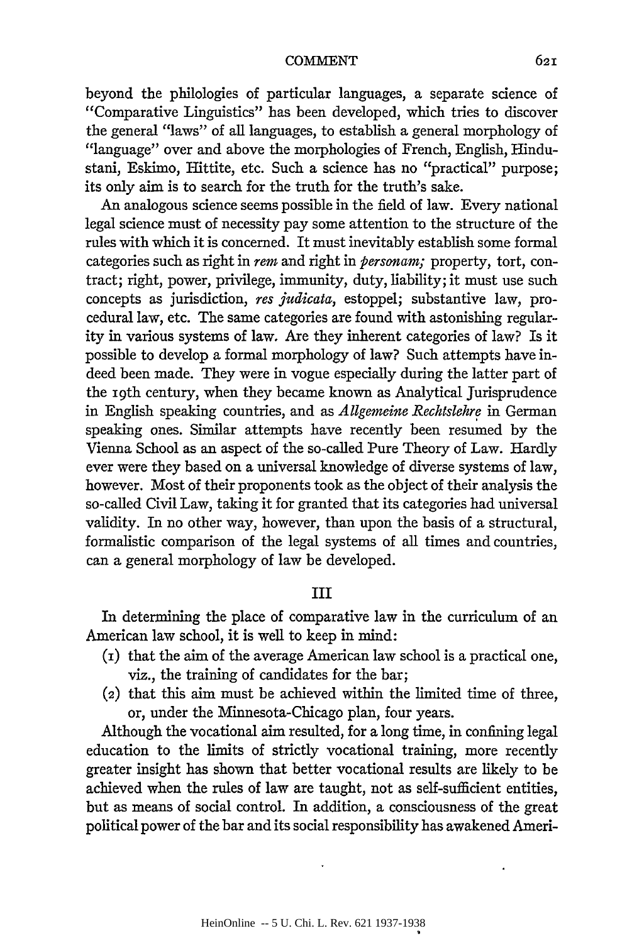beyond the philologies of particular languages, a separate science of "Comparative Linguistics" has been developed, which tries to discover the general "laws" of all languages, to establish a general morphology of "language" over and above the morphologies of French, English, Hindustani, Eskimo, Hittite, etc. Such a science has no "practical" purpose; its only aim is to search for the truth for the truth's sake.

An analogous science seems possible in the field of law. Every national legal science must of necessity pay some attention to the structure of the rules with which it is concerned. It must inevitably establish some formal categories such as right in *rem* and right in *personam;* property, tort, contract; right, power, privilege, immunity, duty, liability; it must use such concepts as jurisdiction, *res judicata,* estoppel; substantive law, procedural law, etc. The same categories are found with astonishing regularity in various systems of law. Are they inherent categories of law? Is it possible to develop a formal morphology of law? Such attempts have indeed been made. They were in vogue especially during the latter part of the roth century, when they became known as Analytical Jurisprudence in English speaking countries, and as *Allgemeine Rechtslehre* in German speaking ones. Similar attempts have recently been resumed by the Vienna School as an aspect of the so-called Pure Theory of Law. Hardly ever were they based on a universal knowledge of diverse systems of law, however. Most of their proponents took as the object of their analysis the so-called Civil Law, taking it for granted that its categories had universal validity. In no other way, however, than upon the basis of a structural, formalistic comparison of the legal systems of all times and countries, can a general morphology of law be developed.

## III

In determining the place of comparative law in the curriculum of an American law school, it is well to keep in mind:

- (i) that the aim of the average American law school is a practical one, viz., the training of candidates for the bar;
- (2) that this aim must be achieved within the limited time of three, or, under the Minnesota-Chicago plan, four years.

Although the vocational aim resulted, for a long time, in confining legal education to the limits of strictly vocational training, more recently greater insight has shown that better vocational results are likely to be achieved when the rules of law are taught, not as self-sufficient entities, but as means of social control. In addition, a consciousness of the great political power of the bar and its social responsibility has awakened Ameri-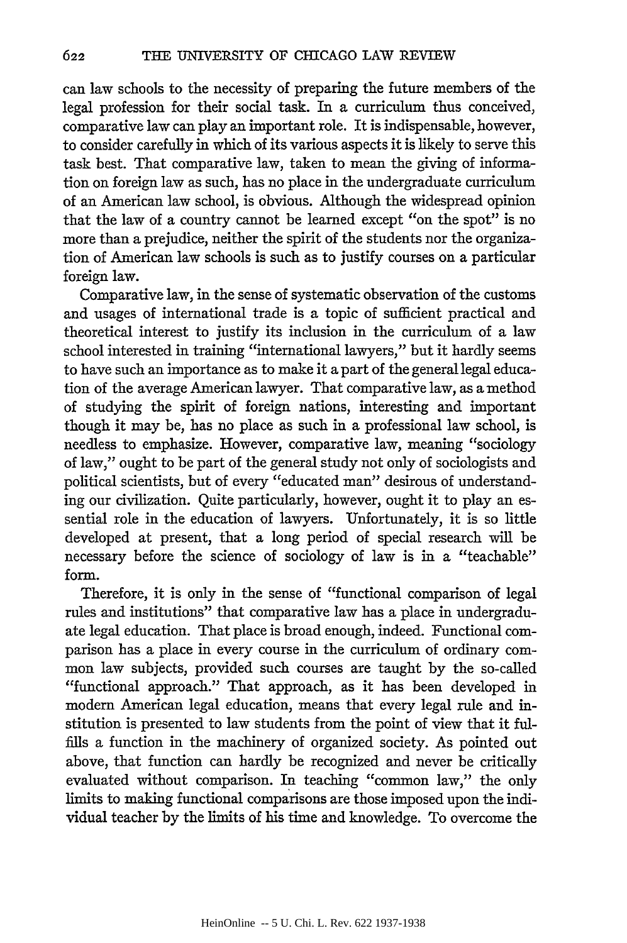can law schools to the necessity of preparing the future members of the legal profession for their social task. In a curriculum thus conceived, comparative law can play an important role. It is indispensable, however, to consider carefully in which of its various aspects it is likely to serve this task best. That comparative law, taken to mean the giving of information on foreign law as such, has no place in the undergraduate curriculum of an American law school, is obvious. Although the widespread opinion that the law of a country cannot be learned except "on the spot" is no more than a prejudice, neither the spirit of the students nor the organization of American law schools is such as to justify courses on a particular foreign law.

Comparative law, in the sense of systematic observation of the customs and usages of international trade is a topic of sufficient practical and theoretical interest to justify its inclusion in the curriculum of a law school interested in training "international lawyers," but it hardly seems to have such an importance as to make it a part of the general legal education of the average American lawyer. That comparative law, as a method of studying the spirit of foreign nations, interesting and important though it may be, has no place as such in a professional law school, is needless to emphasize. However, comparative law, meaning "sociology of law," ought to be part of the general study not only of sociologists and political scientists, but of every "educated man" desirous of understanding our civilization. Quite particularly, however, ought it to play an essential role in the education of lawyers. Unfortunately, it is so little developed at present, that a long period of special research will be necessary before the science of sociology of law is in a "teachable" form.

Therefore, it is only in the sense of "functional comparison of legal rules and institutions" that comparative law has a place in undergraduate legal education. That place is broad enough, indeed. Functional comparison has a place in every course in the curriculum of ordinary common law subjects, provided such courses are taught by the so-called "functional approach." That approach, as it has been developed in modern American legal education, means that every legal rule and institution is presented to law students from the point of view that it fulfills a function in the machinery of organized society. As pointed out above, that function can hardly be recognized and never be critically evaluated without comparison. In teaching "common law," the only limits to making functional comparisons are those imposed upon the individual teacher by the limits of his time and knowledge. To overcome the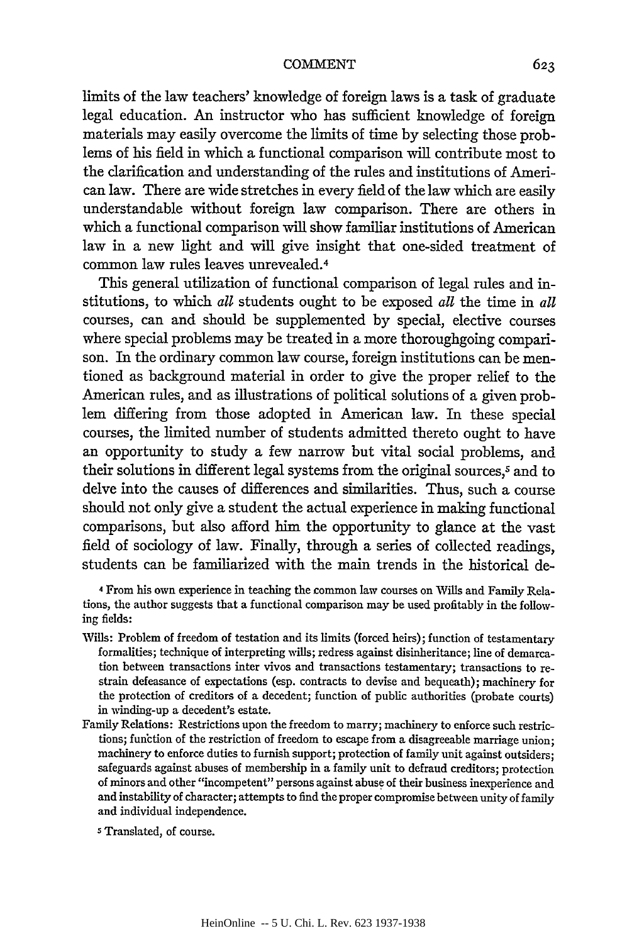limits of the law teachers' knowledge of foreign laws is a task of graduate legal education. An instructor who has sufficient knowledge of foreign materials may easily overcome the limits of time by selecting those problems of his field in which a functional comparison will contribute most to the clarification and understanding of the rules and institutions of American law. There are wide stretches in every field of the law which are easily understandable without foreign law comparison. There are others in which a functional comparison will show familiar institutions of American law in a new light and will give insight that one-sided treatment of common law rules leaves unrevealed.<sup>4</sup>

This general utilization of functional comparison of legal rules and institutions, to which *all* students ought to be exposed *all* the time in *all* courses, can and should be supplemented by special, elective courses where special problems may be treated in a more thoroughgoing comparison. In the ordinary common law course, foreign institutions can be mentioned as background material in order to give the proper relief to the American rules, and as illustrations of political solutions of a given problem differing from those adopted in American law. In these special courses, the limited number of students admitted thereto ought to have an opportunity to study a few narrow but vital social problems, and their solutions in different legal systems from the original sources,<sup>5</sup> and to delve into the causes of differences and similarities. Thus, such a course should not only give a student the actual experience in making functional comparisons, but also afford him the opportunity to glance at the vast field of sociology of law. Finally, through a series of collected readings, students can be familiarized with the main trends in the historical de-

4 From his own experience in teaching the common law courses on Wills and Family Relations, the author suggests that a functional comparison may be used profitably in the following fields:

- Wills: Problem of freedom of testation and its limits (forced heirs); function of testamentary formalities; technique of interpreting wills; redress against disinheritance; line of demarcation between transactions inter vivos and transactions testamentary; transactions to restrain defeasance of expectations (esp. contracts to devise and bequeath); machinery for the protection of creditors of a decedent; function of public authorities (probate courts) in winding-up a decedent's estate.
- Family Relations: Restrictions upon the freedom to marry; machinery to enforce such restrictions; function of the restriction of freedom to escape from a disagreeable marriage union; machinery to enforce duties to furnish support; protection of family unit against outsiders; safeguards against abuses of membership in a family unit to defraud creditors; protection of minors and other "incompetent" persons against abuse of their business inexperience and and instability of character; attempts to find the proper compromise between unity of family and individual independence.

S Translated, of course.